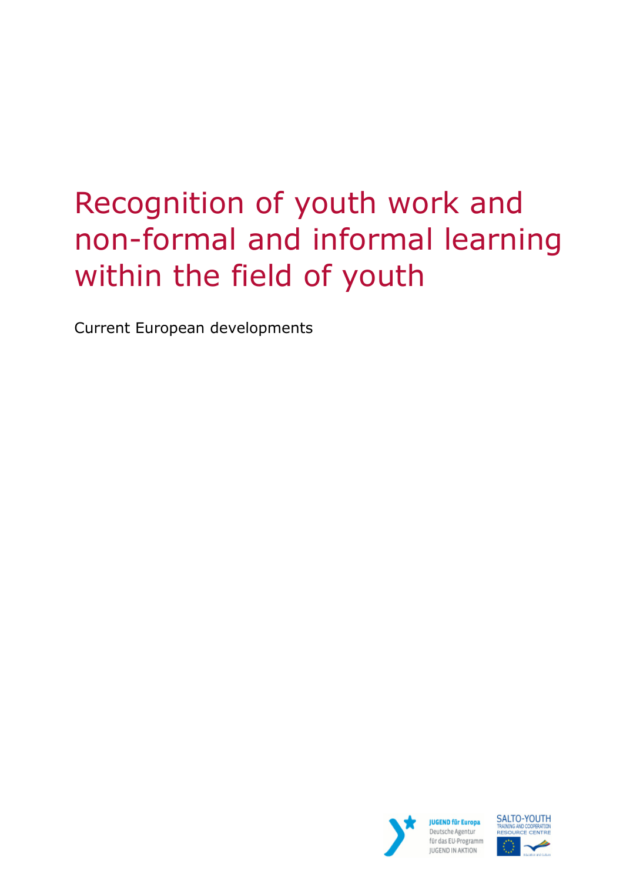# Recognition of youth work and non-formal and informal learning within the field of youth

Current European developments



**JUGEND für Europa** Deutsche Agentur für das EU-Programm JUGEND IN AKTION

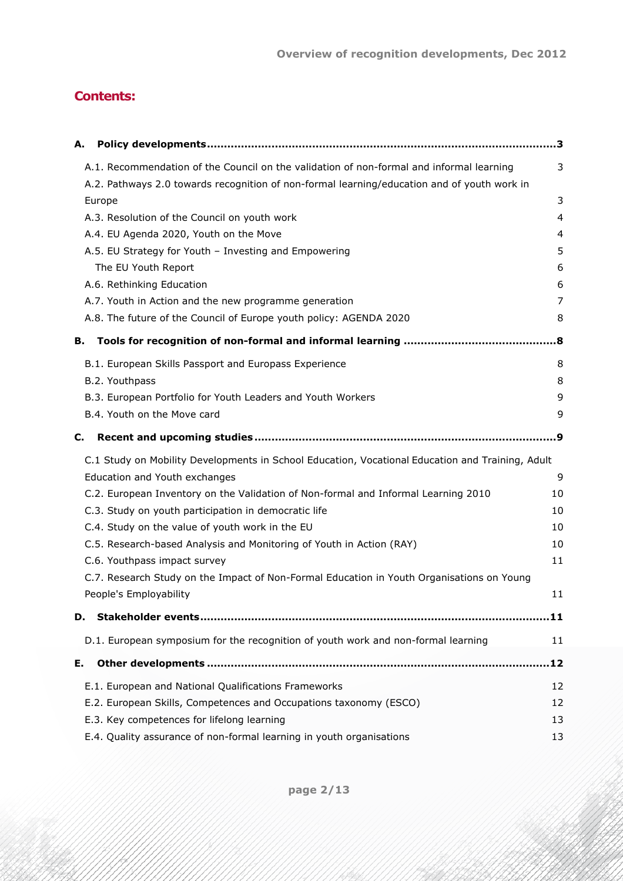# **Contents:**

| А.                                                                                               | з   |
|--------------------------------------------------------------------------------------------------|-----|
| A.1. Recommendation of the Council on the validation of non-formal and informal learning         | 3   |
| A.2. Pathways 2.0 towards recognition of non-formal learning/education and of youth work in      |     |
| Europe                                                                                           | 3   |
| A.3. Resolution of the Council on youth work                                                     | 4   |
| A.4. EU Agenda 2020, Youth on the Move                                                           | 4   |
| A.5. EU Strategy for Youth - Investing and Empowering                                            | 5   |
| The EU Youth Report                                                                              | 6   |
| A.6. Rethinking Education                                                                        | 6   |
| A.7. Youth in Action and the new programme generation                                            | 7   |
| A.8. The future of the Council of Europe youth policy: AGENDA 2020                               | 8   |
| в.                                                                                               | .8  |
| B.1. European Skills Passport and Europass Experience                                            | 8   |
| B.2. Youthpass                                                                                   | 8   |
| B.3. European Portfolio for Youth Leaders and Youth Workers                                      | 9   |
| B.4. Youth on the Move card                                                                      | 9   |
| C.                                                                                               | . 9 |
| C.1 Study on Mobility Developments in School Education, Vocational Education and Training, Adult |     |
| Education and Youth exchanges                                                                    | 9   |
| C.2. European Inventory on the Validation of Non-formal and Informal Learning 2010               | 10  |
| C.3. Study on youth participation in democratic life                                             | 10  |
| C.4. Study on the value of youth work in the EU                                                  | 10  |
| C.5. Research-based Analysis and Monitoring of Youth in Action (RAY)                             | 10  |
| C.6. Youthpass impact survey                                                                     | 11  |
| C.7. Research Study on the Impact of Non-Formal Education in Youth Organisations on Young        |     |
| People's Employability                                                                           | 11  |
| D.                                                                                               |     |
| D.1. European symposium for the recognition of youth work and non-formal learning                | 11  |
| Ε.                                                                                               | .12 |
| E.1. European and National Qualifications Frameworks                                             | 12  |
| E.2. European Skills, Competences and Occupations taxonomy (ESCO)                                | 12  |
| E.3. Key competences for lifelong learning                                                       | 13  |
| E.4. Quality assurance of non-formal learning in youth organisations                             | 13  |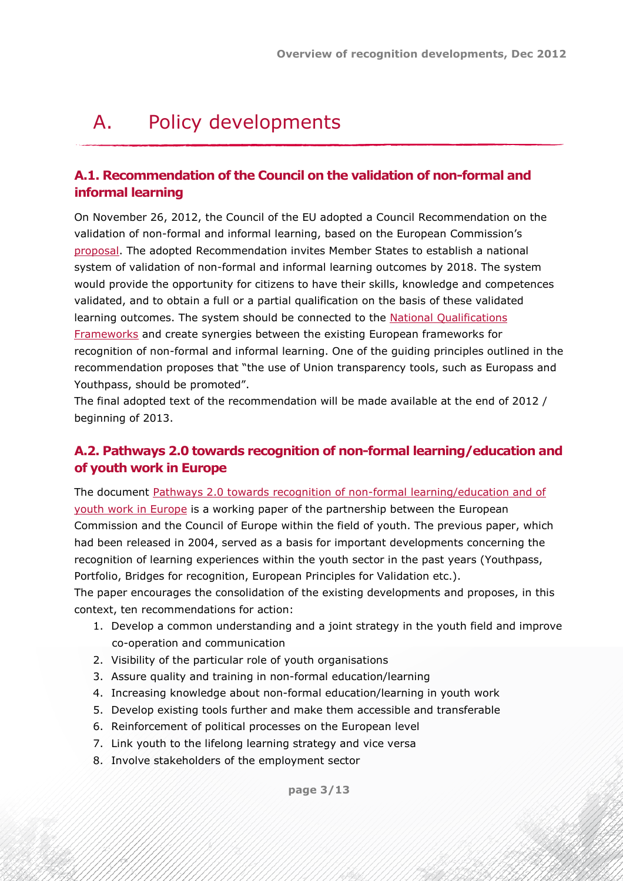# <span id="page-2-0"></span>A. Policy developments

#### <span id="page-2-1"></span>**A.1. Recommendation of the Council on the validation of non-formal and informal learning**

On November 26, 2012, the Council of the EU adopted a Council Recommendation on the validation of non-formal and informal learning, based on the European Commission's [proposal.](http://ec.europa.eu/education/lifelong-learning-policy/doc/informal/proposal2012_en.pdf) The adopted Recommendation invites Member States to establish a national system of validation of non-formal and informal learning outcomes by 2018. The system would provide the opportunity for citizens to have their skills, knowledge and competences validated, and to obtain a full or a partial qualification on the basis of these validated learning outcomes. The system should be connected to the [National Qualifications](#page-11-1) [Frameworks](#page-11-1) and create synergies between the existing European frameworks for recognition of non-formal and informal learning. One of the guiding principles outlined in the recommendation proposes that "the use of Union transparency tools, such as Europass and Youthpass, should be promoted".

The final adopted text of the recommendation will be made available at the end of 2012 / beginning of 2013.

# <span id="page-2-2"></span>**A.2. Pathways 2.0 towards recognition of non-formal learning/education and of youth work in Europe**

The document [Pathways 2.0 towards recognition of non-formal learning/education and of](http://youth-partnership-eu.coe.int/youth-partnership/news/news_188.html) [youth work in Europe](http://youth-partnership-eu.coe.int/youth-partnership/news/news_188.html) is a working paper of the partnership between the European Commission and the Council of Europe within the field of youth. The previous paper, which had been released in 2004, served as a basis for important developments concerning the recognition of learning experiences within the youth sector in the past years (Youthpass, Portfolio, Bridges for recognition, European Principles for Validation etc.).

The paper encourages the consolidation of the existing developments and proposes, in this context, ten recommendations for action:

- 1. Develop a common understanding and a joint strategy in the youth field and improve co-operation and communication
- 2. Visibility of the particular role of youth organisations
- 3. Assure quality and training in non-formal education/learning
- 4. Increasing knowledge about non-formal education/learning in youth work
- 5. Develop existing tools further and make them accessible and transferable
- 6. Reinforcement of political processes on the European level
- 7. Link youth to the lifelong learning strategy and vice versa
- 8. Involve stakeholders of the employment sector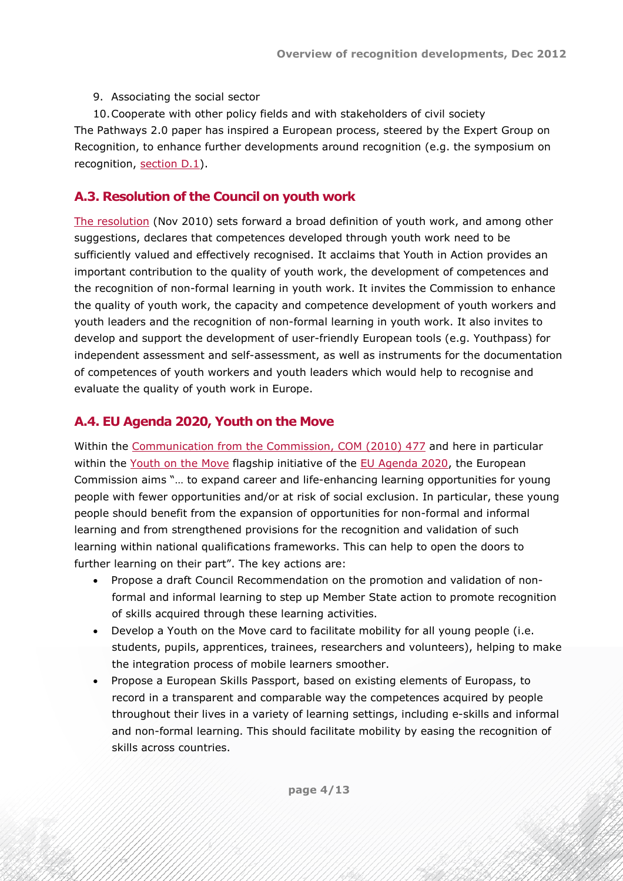9. Associating the social sector

10.Cooperate with other policy fields and with stakeholders of civil society The Pathways 2.0 paper has inspired a European process, steered by the Expert Group on Recognition, to enhance further developments around recognition (e.g. the symposium on recognition, [section D.1\)](#page-10-3).

# <span id="page-3-0"></span>**A.3. Resolution of the Council on youth work**

[The resolution](http://www.consilium.europa.eu/uedocs/cms_data/docs/pressdata/en/educ/117874.pdf) (Nov 2010) sets forward a broad definition of youth work, and among other suggestions, declares that competences developed through youth work need to be sufficiently valued and effectively recognised. It acclaims that Youth in Action provides an important contribution to the quality of youth work, the development of competences and the recognition of non-formal learning in youth work. It invites the Commission to enhance the quality of youth work, the capacity and competence development of youth workers and youth leaders and the recognition of non-formal learning in youth work. It also invites to develop and support the development of user-friendly European tools (e.g. Youthpass) for independent assessment and self-assessment, as well as instruments for the documentation of competences of youth workers and youth leaders which would help to recognise and evaluate the quality of youth work in Europe.

# <span id="page-3-1"></span>**A.4. EU Agenda 2020, Youth on the Move**

Within the [Communication from the Commission, COM \(2010\) 477](http://www.salto-youth.net/download/2442/Youth+On+The+Move+-+COMs+communication.pdf) and here in particular within the [Youth on the Move](http://ec.europa.eu/youthonthemove/) flagship initiative of the [EU Agenda 2020](http://ec.europa.eu/europe2020/index_en.htm), the European Commission aims "… to expand career and life-enhancing learning opportunities for young people with fewer opportunities and/or at risk of social exclusion. In particular, these young people should benefit from the expansion of opportunities for non-formal and informal learning and from strengthened provisions for the recognition and validation of such learning within national qualifications frameworks. This can help to open the doors to further learning on their part". The key actions are:

- Propose a draft Council Recommendation on the promotion and validation of nonformal and informal learning to step up Member State action to promote recognition of skills acquired through these learning activities.
- Develop a Youth on the Move card to facilitate mobility for all young people (i.e. students, pupils, apprentices, trainees, researchers and volunteers), helping to make the integration process of mobile learners smoother.
- Propose a European Skills Passport, based on existing elements of Europass, to record in a transparent and comparable way the competences acquired by people throughout their lives in a variety of learning settings, including e-skills and informal and non-formal learning. This should facilitate mobility by easing the recognition of skills across countries.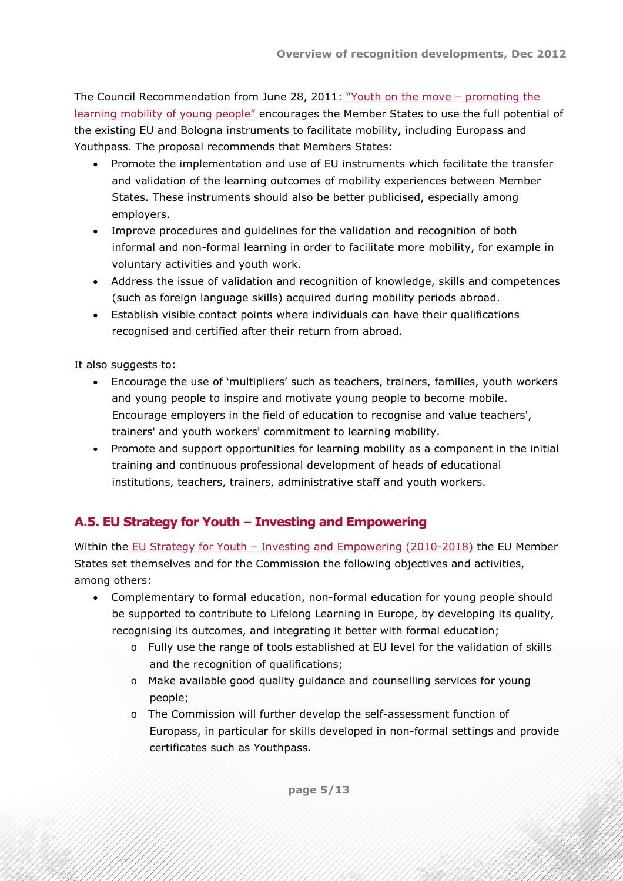The Council Recommendation from June 28, 2011: "Youth on the move - promoting the [learning mobility of young people"](http://eur-lex.europa.eu/LexUriServ/LexUriServ.do?uri=OJ:C:2011:199:0001:0005:en:PDF) encourages the Member States to use the full potential of the existing EU and Bologna instruments to facilitate mobility, including Europass and Youthpass. The proposal recommends that Members States:

- Promote the implementation and use of EU instruments which facilitate the transfer and validation of the learning outcomes of mobility experiences between Member States. These instruments should also be better publicised, especially among employers.
- Improve procedures and guidelines for the validation and recognition of both informal and non-formal learning in order to facilitate more mobility, for example in voluntary activities and youth work.
- Address the issue of validation and recognition of knowledge, skills and competences (such as foreign language skills) acquired during mobility periods abroad.
- Establish visible contact points where individuals can have their qualifications recognised and certified after their return from abroad.

It also suggests to:

- Encourage the use of 'multipliers' such as teachers, trainers, families, youth workers and young people to inspire and motivate young people to become mobile. Encourage employers in the field of education to recognise and value teachers', trainers' and youth workers' commitment to learning mobility.
- Promote and support opportunities for learning mobility as a component in the initial training and continuous professional development of heads of educational institutions, teachers, trainers, administrative staff and youth workers.

# <span id="page-4-0"></span>**A.5. EU Strategy for Youth – Investing and Empowering**

Within the [EU Strategy for Youth – Investing and Empowering \(2010-2018\)](http://www.salto-youth.net/downloads/4-17-2444/Investing and Empowering.pdf) the EU Member States set themselves and for the Commission the following objectives and activities, among others:

- Complementary to formal education, non-formal education for young people should be supported to contribute to Lifelong Learning in Europe, by developing its quality, recognising its outcomes, and integrating it better with formal education;
	- o Fully use the range of tools established at EU level for the validation of skills and the recognition of qualifications;
	- o Make available good quality guidance and counselling services for young people;
	- o The Commission will further develop the self-assessment function of Europass, in particular for skills developed in non-formal settings and provide certificates such as Youthpass.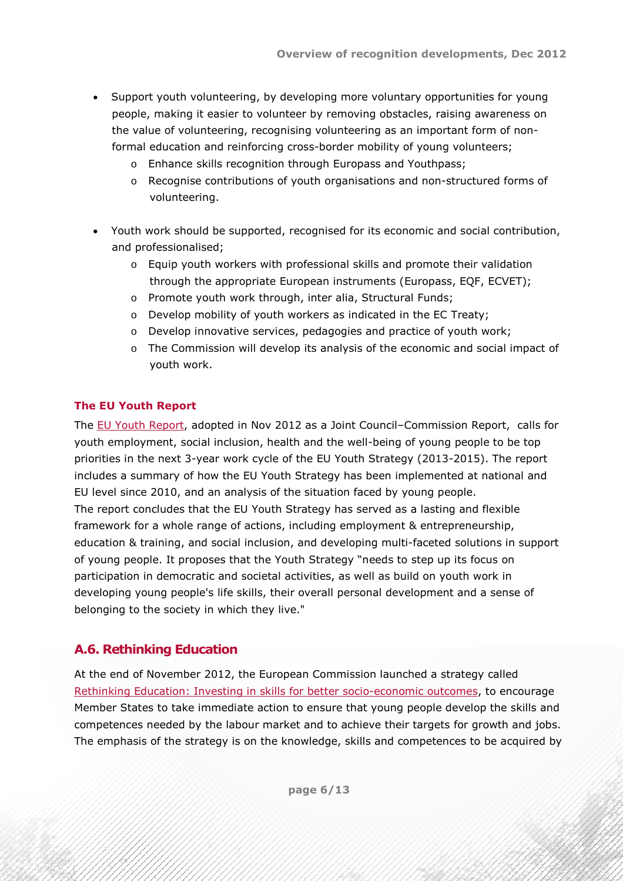- Support youth volunteering, by developing more voluntary opportunities for young people, making it easier to volunteer by removing obstacles, raising awareness on the value of volunteering, recognising volunteering as an important form of nonformal education and reinforcing cross-border mobility of young volunteers;
	- o Enhance skills recognition through Europass and Youthpass;
	- o Recognise contributions of youth organisations and non-structured forms of volunteering.
- Youth work should be supported, recognised for its economic and social contribution, and professionalised;
	- o Equip youth workers with professional skills and promote their validation through the appropriate European instruments (Europass, EQF, ECVET);
	- o Promote youth work through, inter alia, Structural Funds;
	- o Develop mobility of youth workers as indicated in the EC Treaty;
	- $\circ$  Develop innovative services, pedagogies and practice of youth work;
	- $\circ$  The Commission will develop its analysis of the economic and social impact of youth work.

#### <span id="page-5-0"></span>**The EU Youth Report**

The [EU Youth Report,](http://ec.europa.eu/youth/news/20120910_en.htm) adopted in Nov 2012 as a Joint Council–Commission Report, calls for youth employment, social inclusion, health and the well-being of young people to be top priorities in the next 3-year work cycle of the EU Youth Strategy (2013-2015). The report includes a summary of how the EU Youth Strategy has been implemented at national and EU level since 2010, and an analysis of the situation faced by young people. The report concludes that the EU Youth Strategy has served as a lasting and flexible framework for a whole range of actions, including employment & entrepreneurship, education & training, and social inclusion, and developing multi-faceted solutions in support of young people. It proposes that the Youth Strategy "needs to step up its focus on participation in democratic and societal activities, as well as build on youth work in developing young people's life skills, their overall personal development and a sense of belonging to the society in which they live."

# <span id="page-5-1"></span>**A.6. Rethinking Education**

At the end of November 2012, the European Commission launched a strategy called [Rethinking Education: Investing in skills for better socio-economic outcomes](http://ec.europa.eu/education/news/rethinking/com669_en.pdf), to encourage Member States to take immediate action to ensure that young people develop the skills and competences needed by the labour market and to achieve their targets for growth and jobs. The emphasis of the strategy is on the knowledge, skills and competences to be acquired by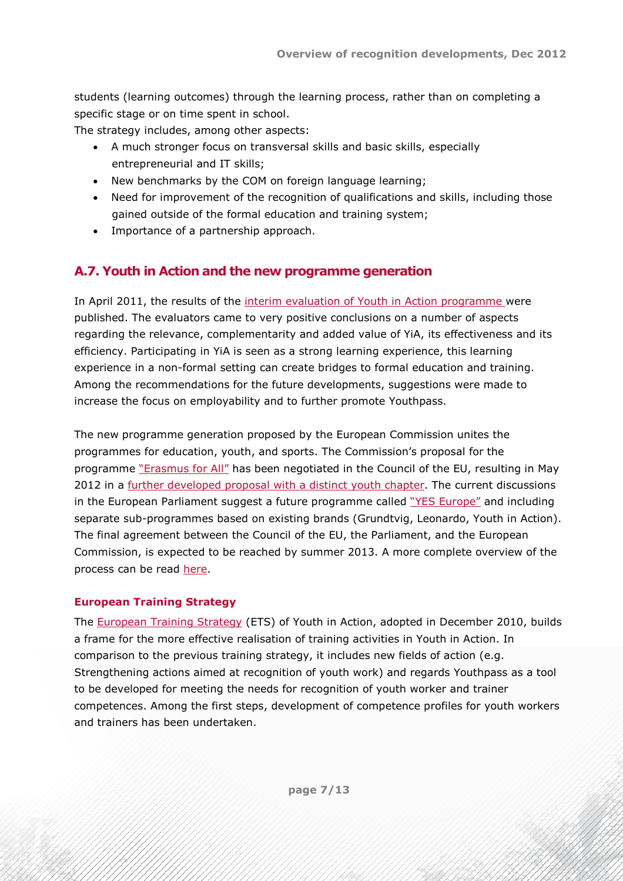students (learning outcomes) through the learning process, rather than on completing a specific stage or on time spent in school.

The strategy includes, among other aspects:

- A much stronger focus on transversal skills and basic skills, especially entrepreneurial and IT skills;
- New benchmarks by the COM on foreign language learning;
- Need for improvement of the recognition of qualifications and skills, including those gained outside of the formal education and training system;
- Importance of a partnership approach.

# <span id="page-6-0"></span>**A.7. Youth in Action and the new programme generation**

In April 2011, the results of the [interim evaluation of Youth in Action programme](http://www.jugendpolitikineuropa.de/downloads/4-20-2866/st09365.en11.pdf) were published. The evaluators came to very positive conclusions on a number of aspects regarding the relevance, complementarity and added value of YiA, its effectiveness and its efficiency. Participating in YiA is seen as a strong learning experience, this learning experience in a non-formal setting can create bridges to formal education and training. Among the recommendations for the future developments, suggestions were made to increase the focus on employability and to further promote Youthpass.

The new programme generation proposed by the European Commission unites the programmes for education, youth, and sports. The Commission's proposal for the programme ["Erasmus for All"](http://www.salto-youth.net/downloads/4-17-2519/legal_en.pdf) has been negotiated in the Council of the EU, resulting in May 2012 in a [further developed proposal with a distinct youth chapter](http://register.consilium.europa.eu/pdf/en/12/st09/st09098.en12.pdf). The current discussions in the European Parliament suggest a future programme called ["YES Europe"](http://www.salto-youth.net/downloads/4-17-2676/Draft Report_Doris Pack_2012-07-.pdf) and including separate sub-programmes based on existing brands (Grundtvig, Leonardo, Youth in Action). The final agreement between the Council of the EU, the Parliament, and the European Commission, is expected to be reached by summer 2013. A more complete overview of the process can be read [here.](http://www.salto-youth.net/about/yiayouthpolicy/erasmus-for-all/)

#### **European Training Strategy**

The [European Training Strategy](http://www.salto-youth.net/downloads/4-17-2330/CJ-22-2010-2 - Training Strategy.pdf) (ETS) of Youth in Action, adopted in December 2010, builds a frame for the more effective realisation of training activities in Youth in Action. In comparison to the previous training strategy, it includes new fields of action (e.g. Strengthening actions aimed at recognition of youth work) and regards Youthpass as a tool to be developed for meeting the needs for recognition of youth worker and trainer competences. Among the first steps, development of competence profiles for youth workers and trainers has been undertaken.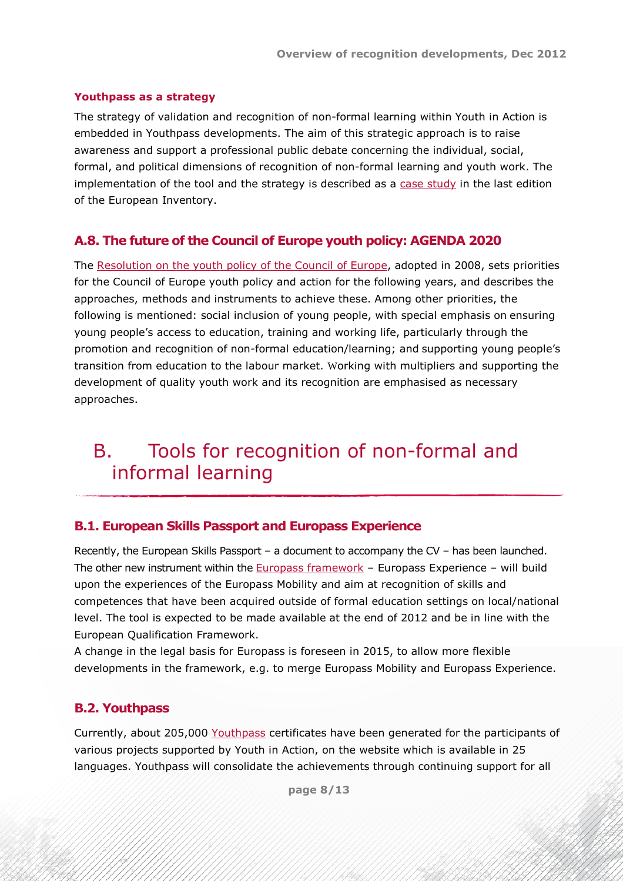#### **Youthpass as a strategy**

The strategy of validation and recognition of non-formal learning within Youth in Action is embedded in Youthpass developments. The aim of this strategic approach is to raise awareness and support a professional public debate concerning the individual, social, formal, and political dimensions of recognition of non-formal learning and youth work. The implementation of the tool and the strategy is described as a [case study](http://libserver.cedefop.europa.eu/F/?func=direct&local_base=CED01&doc_number=000077638) in the last edition of the European Inventory.

### <span id="page-7-0"></span>**A.8. The future of the Council of Europe youth policy: AGENDA 2020**

The [Resolution on the youth policy of the Council of Europe,](http://www.coe.int/t/dg4/youth/Source/IG_Coop/Documents/CM_Res_08_youth_policy_en.pdf) adopted in 2008, sets priorities for the Council of Europe youth policy and action for the following years, and describes the approaches, methods and instruments to achieve these. Among other priorities, the following is mentioned: social inclusion of young people, with special emphasis on ensuring young people's access to education, training and working life, particularly through the promotion and recognition of non-formal education/learning; and supporting young people's transition from education to the labour market. Working with multipliers and supporting the development of quality youth work and its recognition are emphasised as necessary approaches.

# <span id="page-7-1"></span>B. Tools for recognition of non-formal and informal learning

#### <span id="page-7-2"></span>**B.1. European Skills Passport and Europass Experience**

Recently, the European Skills Passport – a document to accompany the CV – has been launched. The other new instrument within the **[Europass framework](http://europass.cedefop.europa.eu/en/home)** – Europass Experience – will build upon the experiences of the Europass Mobility and aim at recognition of skills and competences that have been acquired outside of formal education settings on local/national level. The tool is expected to be made available at the end of 2012 and be in line with the European Qualification Framework.

A change in the legal basis for Europass is foreseen in 2015, to allow more flexible developments in the framework, e.g. to merge Europass Mobility and Europass Experience.

#### <span id="page-7-3"></span>**B.2. Youthpass**

Currently, about 205,000 [Youthpass](https://www.youthpass.eu/en/youthpass/) certificates have been generated for the participants of various projects supported by Youth in Action, on the website which is available in 25 languages. Youthpass will consolidate the achievements through continuing support for all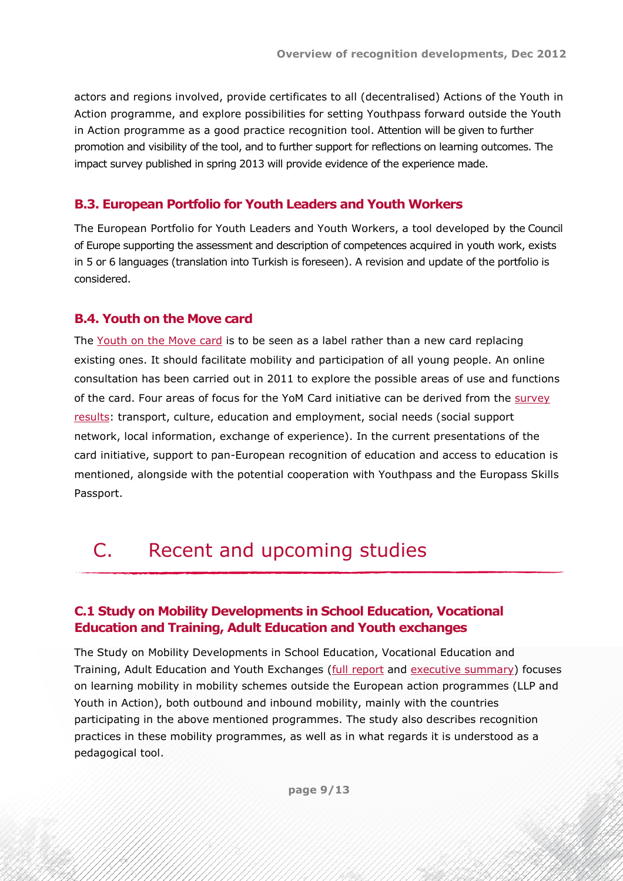actors and regions involved, provide certificates to all (decentralised) Actions of the Youth in Action programme, and explore possibilities for setting Youthpass forward outside the Youth in Action programme as a good practice recognition tool. Attention will be given to further promotion and visibility of the tool, and to further support for reflections on learning outcomes. The impact survey published in spring 2013 will provide evidence of the experience made.

# <span id="page-8-0"></span>**B.3. European Portfolio for Youth Leaders and Youth Workers**

The [European Portfolio for Youth Leaders and Youth Workers](http://www.coe.int/t/dg4/youth/resources/portfolio/portfolio_EN.asp), a tool developed by the Council of Europe supporting the assessment and description of competences acquired in youth work, exists in 5 or 6 languages (translation into Turkish is foreseen). A revision and update of the portfolio is considered.

# <span id="page-8-1"></span>**B.4. Youth on the Move card**

The [Youth on the Move card](http://ec.europa.eu/youth/news/news1930_en.htm) is to be seen as a label rather than a new card replacing existing ones. It should facilitate mobility and participation of all young people. An online consultation has been carried out in 2011 to explore the possible areas of use and functions of the card. Four areas of focus for the YoM Card initiative can be derived from the [survey](http://ec.europa.eu/dgs/education_culture/consult/youthcard_en.htm) [results:](http://ec.europa.eu/dgs/education_culture/consult/youthcard_en.htm) transport, culture, education and employment, social needs (social support network, local information, exchange of experience). In the current presentations of the card initiative, support to pan-European recognition of education and access to education is mentioned, alongside with the potential cooperation with Youthpass and the Europass Skills Passport.

# <span id="page-8-2"></span>C. Recent and upcoming studies

# <span id="page-8-3"></span>**C.1 Study on Mobility Developments in School Education, Vocational Education and Training, Adult Education and Youth exchanges**

The Study on Mobility Developments in School Education, Vocational Education and Training, Adult Education and Youth Exchanges [\(full report](http://ec.europa.eu/education/documents/more-information/mobility-study-report.pdf) and [executive summary\)](http://ec.europa.eu/education/documents/more-information/mobility-executive-summary_en.pdf) focuses on learning mobility in mobility schemes outside the European action programmes (LLP and Youth in Action), both outbound and inbound mobility, mainly with the countries participating in the above mentioned programmes. The study also describes recognition practices in these mobility programmes, as well as in what regards it is understood as a pedagogical tool.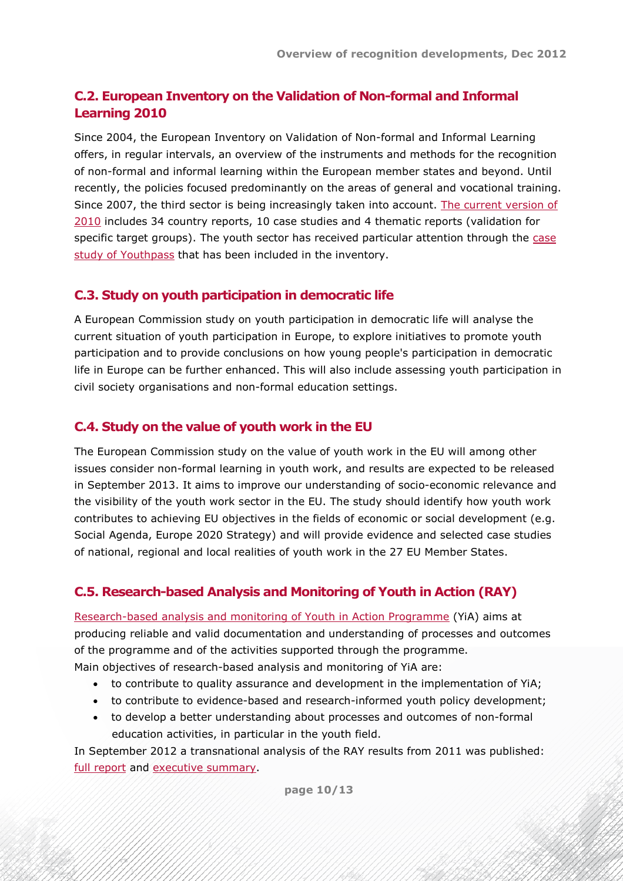# <span id="page-9-0"></span>**C.2. European Inventory on the Validation of Non-formal and Informal Learning 2010**

Since 2004, the European Inventory on Validation of Non-formal and Informal Learning offers, in regular intervals, an overview of the instruments and methods for the recognition of non-formal and informal learning within the European member states and beyond. Until recently, the policies focused predominantly on the areas of general and vocational training. Since 2007, the third sector is being increasingly taken into account. [The current version of](http://libserver.cedefop.europa.eu/F/?func=find-c&ccl_term=%28wjr=european%20and%20wjr=inventory%20and%20wjr=validation%29&local_base=ced01) [2010](http://libserver.cedefop.europa.eu/F/?func=find-c&ccl_term=%28wjr=european%20and%20wjr=inventory%20and%20wjr=validation%29&local_base=ced01) includes 34 country reports, 10 case studies and 4 thematic reports (validation for specific target groups). The youth sector has received particular attention through the [case](http://libserver.cedefop.europa.eu/F/?func=direct&local_base=CED01&doc_number=000077638) [study of Youthpass](http://libserver.cedefop.europa.eu/F/?func=direct&local_base=CED01&doc_number=000077638) that has been included in the inventory.

#### <span id="page-9-1"></span>**C.3. Study on youth participation in democratic life**

A European Commission study on youth participation in democratic life will analyse the current situation of youth participation in Europe, to explore initiatives to promote youth participation and to provide conclusions on how young people's participation in democratic life in Europe can be further enhanced. This will also include assessing youth participation in civil society organisations and non-formal education settings.

#### <span id="page-9-2"></span>**C.4. Study on the value of youth work in the EU**

The European Commission study on the value of youth work in the EU will among other issues consider non-formal learning in youth work, and results are expected to be released in September 2013. It aims to improve our understanding of socio-economic relevance and the visibility of the youth work sector in the EU. The study should identify how youth work contributes to achieving EU objectives in the fields of economic or social development (e.g. Social Agenda, Europe 2020 Strategy) and will provide evidence and selected case studies of national, regional and local realities of youth work in the 27 EU Member States.

# <span id="page-9-3"></span>**C.5. Research-based Analysis and Monitoring of Youth in Action (RAY)**

[Research-based analysis and monitoring of Youth in Action Programme](http://www.salto-youth.net/download/2454/RAY+information+20110418.pdf) (YiA) aims at producing reliable and valid documentation and understanding of processes and outcomes of the programme and of the activities supported through the programme. Main objectives of research-based analysis and monitoring of YiA are:

- to contribute to quality assurance and development in the implementation of YiA;
- to contribute to evidence-based and research-informed youth policy development;
- to develop a better understanding about processes and outcomes of non-formal education activities, in particular in the youth field.

In September 2012 a transnational analysis of the RAY results from 2011 was published: [full report](http://www.salto-youth.net/download/2692/RAY2011_report_20120905.pdf) and [executive summary.](http://www.salto-youth.net/download/2693/RAY2011_report_20120905+executive+summary.pdf)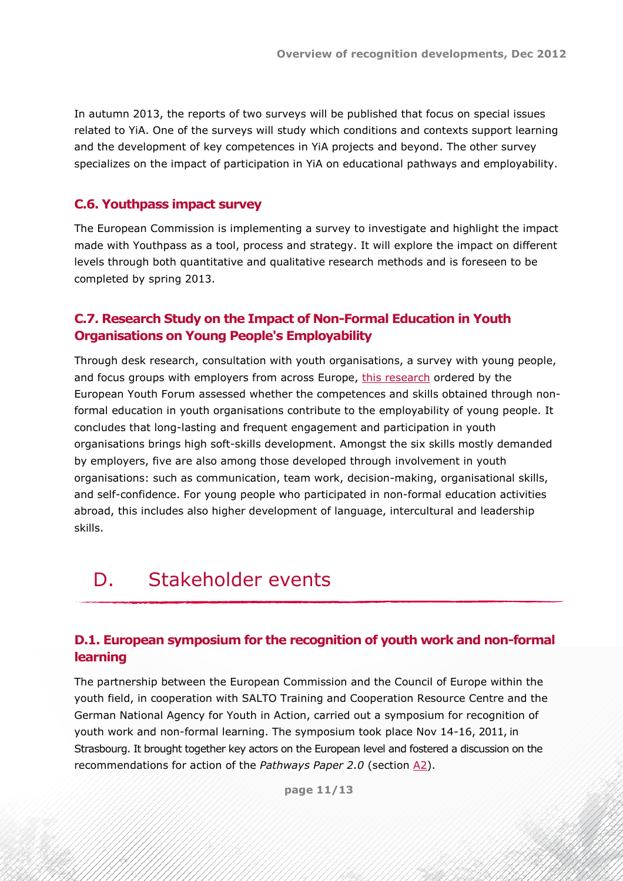In autumn 2013, the reports of two surveys will be published that focus on special issues related to YiA. One of the surveys will study which conditions and contexts support learning and the development of key competences in YiA projects and beyond. The other survey specializes on the impact of participation in YiA on educational pathways and employability.

#### <span id="page-10-0"></span>**C.6. Youthpass impact survey**

The European Commission is implementing a survey to investigate and highlight the impact made with Youthpass as a tool, process and strategy. It will explore the impact on different levels through both quantitative and qualitative research methods and is foreseen to be completed by spring 2013.

### <span id="page-10-1"></span>**C.7. Research Study on the Impact of Non-Formal Education in Youth Organisations on Young People's Employability**

Through desk research, consultation with youth organisations, a survey with young people, and focus groups with employers from across Europe, [this research](http://issuu.com/yomag/docs/reportnfe_print?utm_source=EUCIS-LLL+general&utm_campaign=203d3c0caf-EUCIS_LLL_newsletter_45_September_20129_28_2012&utm_medium=email) ordered by the European Youth Forum assessed whether the competences and skills obtained through nonformal education in youth organisations contribute to the employability of young people. It concludes that long-lasting and frequent engagement and participation in youth organisations brings high soft-skills development. Amongst the six skills mostly demanded by employers, five are also among those developed through involvement in youth organisations: such as communication, team work, decision-making, organisational skills, and self-confidence. For young people who participated in non-formal education activities abroad, this includes also higher development of language, intercultural and leadership skills.

# <span id="page-10-2"></span>D. Stakeholder events

### <span id="page-10-3"></span>**D.1. European symposium for the recognition of youth work and non-formal learning**

The partnership between the European Commission and the Council of Europe within the youth field, in cooperation with SALTO Training and Cooperation Resource Centre and the German National Agency for Youth in Action, carried out a symposium for recognition of youth work and non-formal learning. The symposium took place Nov 14-16, 2011, in Strasbourg. It brought together key actors on the European level and fostered a discussion on the recommendations for action of the *Pathways Paper 2.0* (section [A2\)](#page-2-2).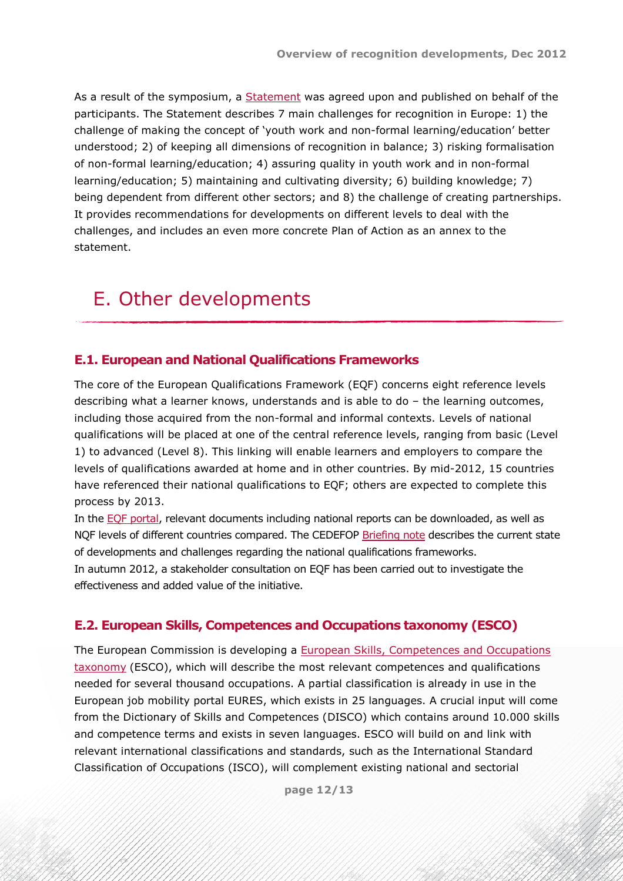As a result of the symposium, a [Statement](http://youth-partnership-eu.coe.int/youth-partnership/documents/EKCYP/Youth_Policy/docs/Youth_Work/Policy/STATEMENT_Symposium_participants_160312.pdf) was agreed upon and published on behalf of the participants. The Statement describes 7 main challenges for recognition in Europe: 1) the challenge of making the concept of 'youth work and non-formal learning/education' better understood; 2) of keeping all dimensions of recognition in balance; 3) risking formalisation of non-formal learning/education; 4) assuring quality in youth work and in non-formal learning/education; 5) maintaining and cultivating diversity; 6) building knowledge; 7) being dependent from different other sectors; and 8) the challenge of creating partnerships. It provides recommendations for developments on different levels to deal with the challenges, and includes an even more concrete Plan of Action as an annex to the statement.

# <span id="page-11-0"></span>E. Other developments

#### <span id="page-11-1"></span>**E.1. European and National Qualifications Frameworks**

The core of the European Qualifications Framework (EQF) concerns eight reference levels describing what a learner knows, understands and is able to do – the learning outcomes, including those acquired from the non-formal and informal contexts. Levels of national qualifications will be placed at one of the central reference levels, ranging from basic (Level 1) to advanced (Level 8). This linking will enable learners and employers to compare the levels of qualifications awarded at home and in other countries. By mid-2012, 15 countries have referenced their national qualifications to EQF; others are expected to complete this process by 2013.

In the [EQF portal,](http://ec.europa.eu/eqf/home_en.htm) relevant documents including national reports can be downloaded, as well as NQF levels of different countries compared. The CEDEFOP [Briefing note](http://www.cedefop.europa.eu/EN/publications/20509.aspx) describes the current state of developments and challenges regarding the national qualifications frameworks. In autumn 2012, a stakeholder consultation on EQF has been carried out to investigate the effectiveness and added value of the initiative.

#### <span id="page-11-2"></span>**E.2. European Skills, Competences and Occupations taxonomy (ESCO)**

The European Commission is developing a **[European Skills, Competences and Occupations](http://ec.europa.eu/eures/docs/ESCO_overview_note.pdf)** [taxonomy](http://ec.europa.eu/eures/docs/ESCO_overview_note.pdf) (ESCO), which will describe the most relevant competences and qualifications needed for several thousand occupations. A partial classification is already in use in the European job mobility portal EURES, which exists in 25 languages. A crucial input will come from the Dictionary of Skills and Competences (DISCO) which contains around 10.000 skills and competence terms and exists in seven languages. ESCO will build on and link with relevant international classifications and standards, such as the International Standard Classification of Occupations (ISCO), will complement existing national and sectorial